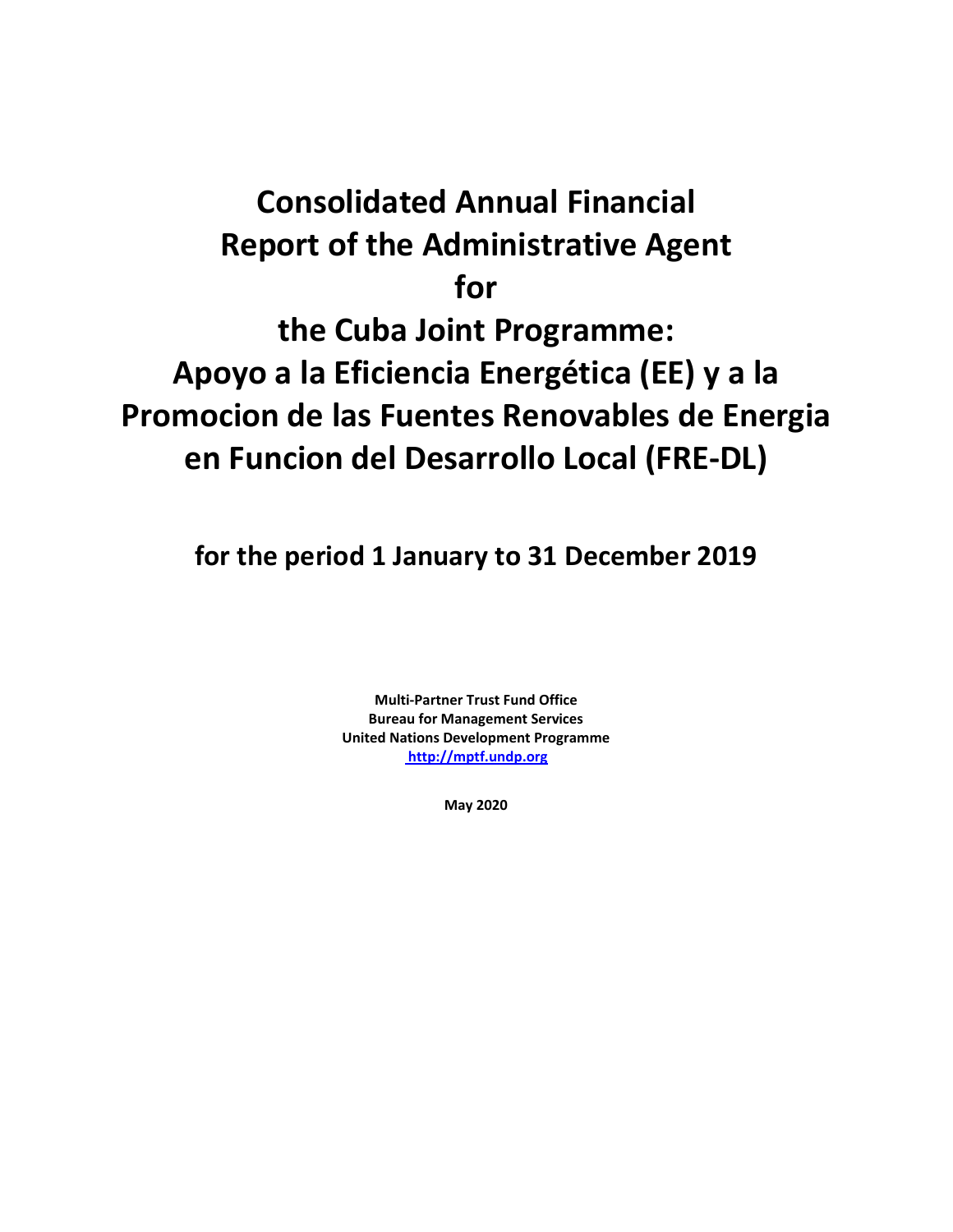# **Consolidated Annual Financial Report of the Administrative Agent for the Cuba Joint Programme: Apoyo a la Eficiencia Energética (EE) y a la Promocion de las Fuentes Renovables de Energia**

**en Funcion del Desarrollo Local (FRE-DL)**

**for the period 1 January to 31 December 2019**

**Multi-Partner Trust Fund Office Bureau for Management Services United Nations Development Programme [http://mptf.undp.org](http://mptf.undp.org/)**

**May 2020**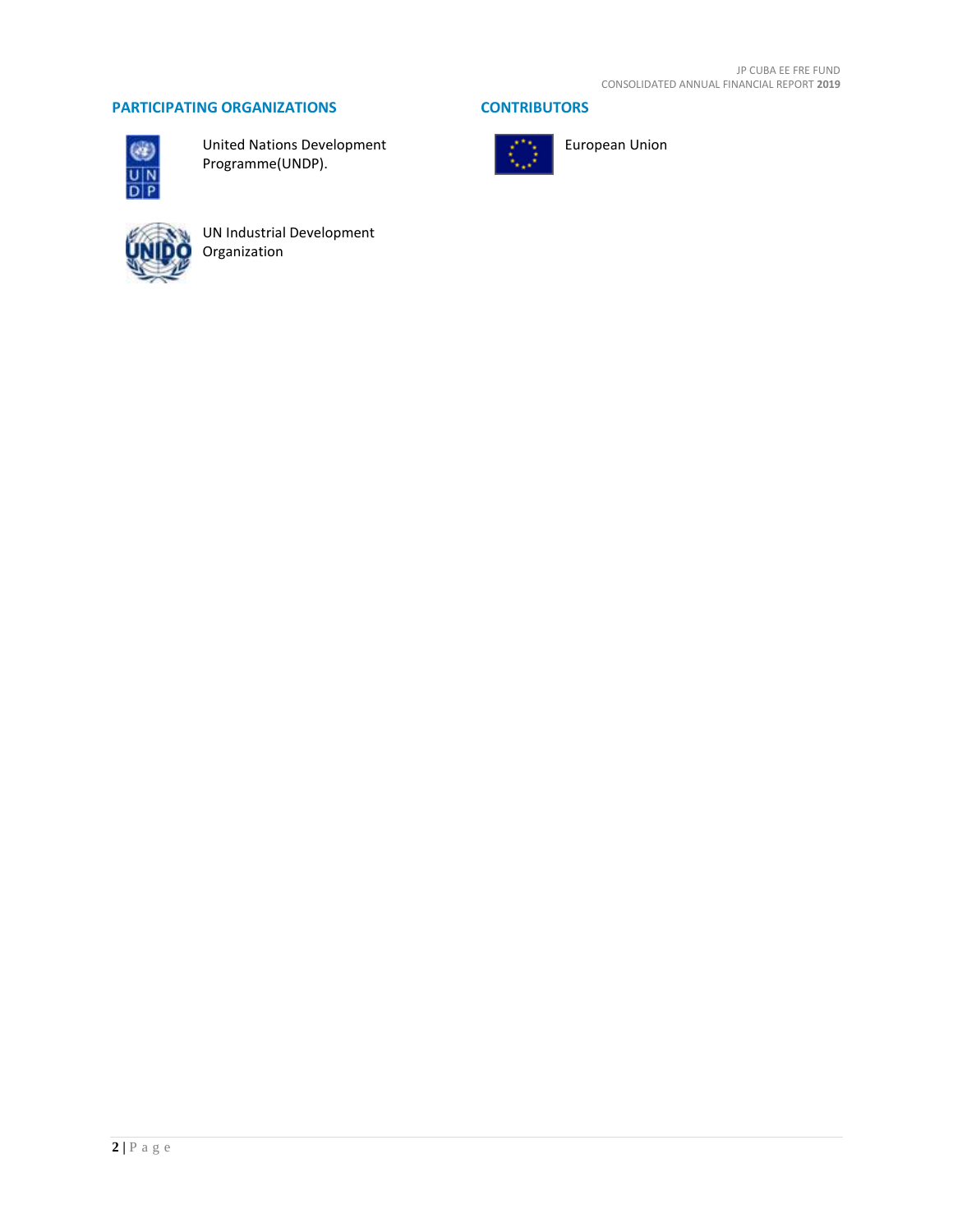# **PARTICIPATING ORGANIZATIONS CONTRIBUTORS**



United Nations Development Programme(UNDP).



UN Industrial Development Organization



European Union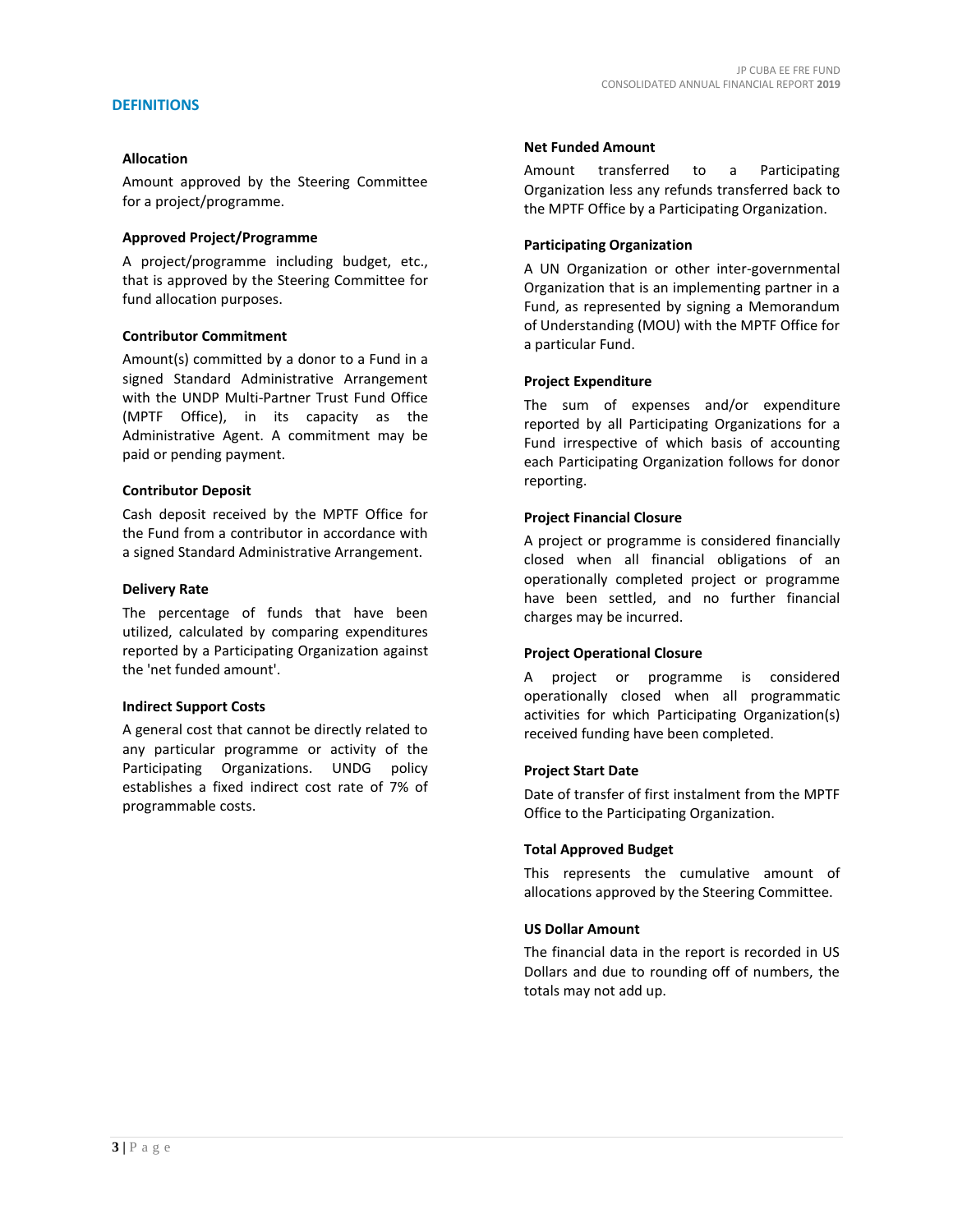#### **DEFINITIONS**

#### **Allocation**

Amount approved by the Steering Committee for a project/programme.

#### **Approved Project/Programme**

A project/programme including budget, etc., that is approved by the Steering Committee for fund allocation purposes.

#### **Contributor Commitment**

Amount(s) committed by a donor to a Fund in a signed Standard Administrative Arrangement with the UNDP Multi-Partner Trust Fund Office (MPTF Office), in its capacity as the Administrative Agent. A commitment may be paid or pending payment.

#### **Contributor Deposit**

Cash deposit received by the MPTF Office for the Fund from a contributor in accordance with a signed Standard Administrative Arrangement.

#### **Delivery Rate**

The percentage of funds that have been utilized, calculated by comparing expenditures reported by a Participating Organization against the 'net funded amount'.

#### **Indirect Support Costs**

A general cost that cannot be directly related to any particular programme or activity of the Participating Organizations. UNDG policy establishes a fixed indirect cost rate of 7% of programmable costs.

#### **Net Funded Amount**

Amount transferred to a Participating Organization less any refunds transferred back to the MPTF Office by a Participating Organization.

#### **Participating Organization**

A UN Organization or other inter-governmental Organization that is an implementing partner in a Fund, as represented by signing a Memorandum of Understanding (MOU) with the MPTF Office for a particular Fund.

#### **Project Expenditure**

The sum of expenses and/or expenditure reported by all Participating Organizations for a Fund irrespective of which basis of accounting each Participating Organization follows for donor reporting.

#### **Project Financial Closure**

A project or programme is considered financially closed when all financial obligations of an operationally completed project or programme have been settled, and no further financial charges may be incurred.

#### **Project Operational Closure**

A project or programme is considered operationally closed when all programmatic activities for which Participating Organization(s) received funding have been completed.

#### **Project Start Date**

Date of transfer of first instalment from the MPTF Office to the Participating Organization.

#### **Total Approved Budget**

This represents the cumulative amount of allocations approved by the Steering Committee.

#### **US Dollar Amount**

The financial data in the report is recorded in US Dollars and due to rounding off of numbers, the totals may not add up.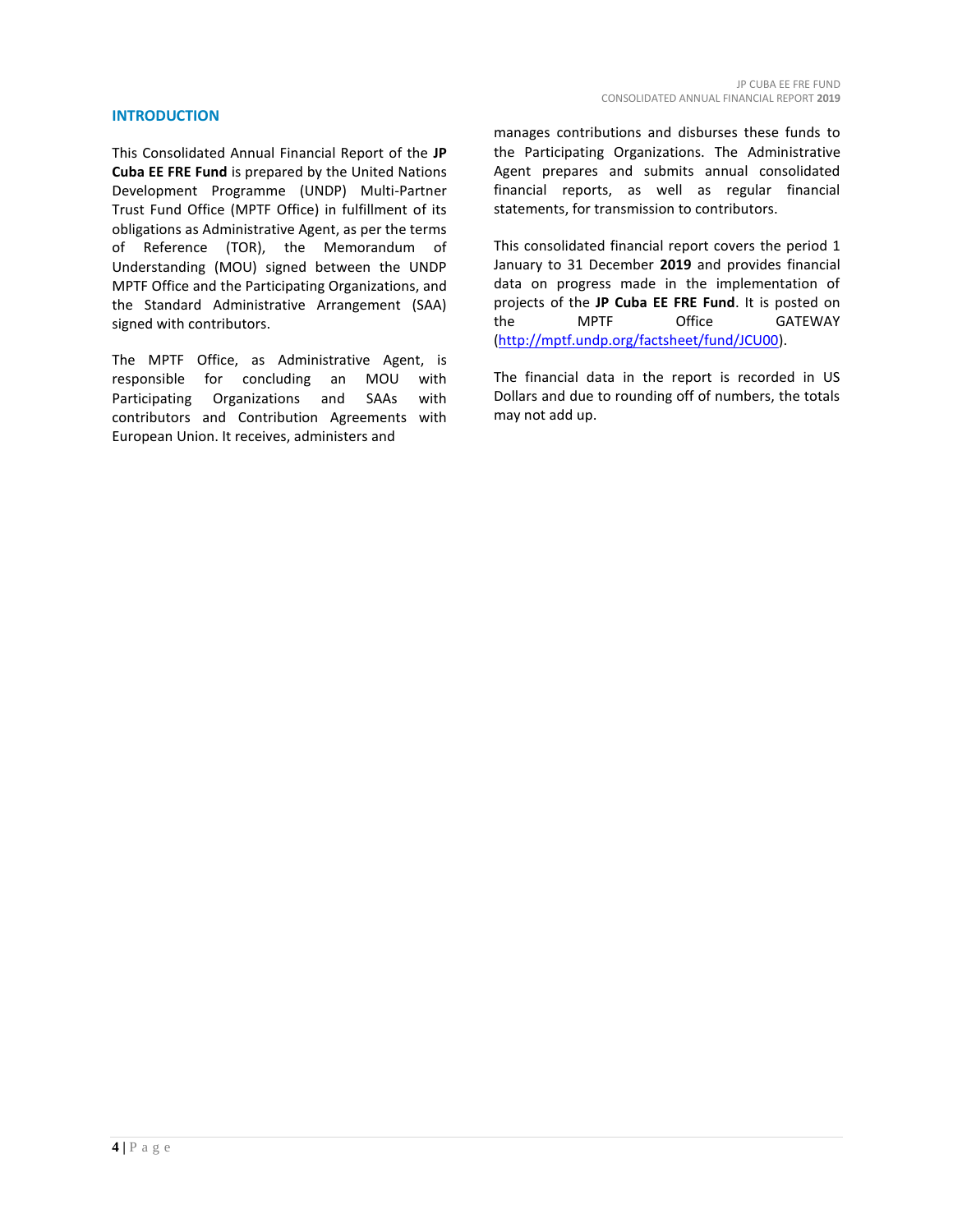#### **INTRODUCTION**

This Consolidated Annual Financial Report of the **JP Cuba EE FRE Fund** is prepared by the United Nations Development Programme (UNDP) Multi-Partner Trust Fund Office (MPTF Office) in fulfillment of its obligations as Administrative Agent, as per the terms of Reference (TOR), the Memorandum of Understanding (MOU) signed between the UNDP MPTF Office and the Participating Organizations, and the Standard Administrative Arrangement (SAA) signed with contributors.

The MPTF Office, as Administrative Agent, is responsible for concluding an MOU with Participating Organizations and SAAs with contributors and Contribution Agreements with European Union. It receives, administers and

manages contributions and disburses these funds to the Participating Organizations. The Administrative Agent prepares and submits annual consolidated financial reports, as well as regular financial statements, for transmission to contributors.

This consolidated financial report covers the period 1 January to 31 December **2019** and provides financial data on progress made in the implementation of projects of the **JP Cuba EE FRE Fund**. It is posted on the MPTF Office GATEWAY [\(http://mptf.undp.org/factsheet/fund/JCU00\)](http://mptf.undp.org/factsheet/fund/JCU00).

The financial data in the report is recorded in US Dollars and due to rounding off of numbers, the totals may not add up.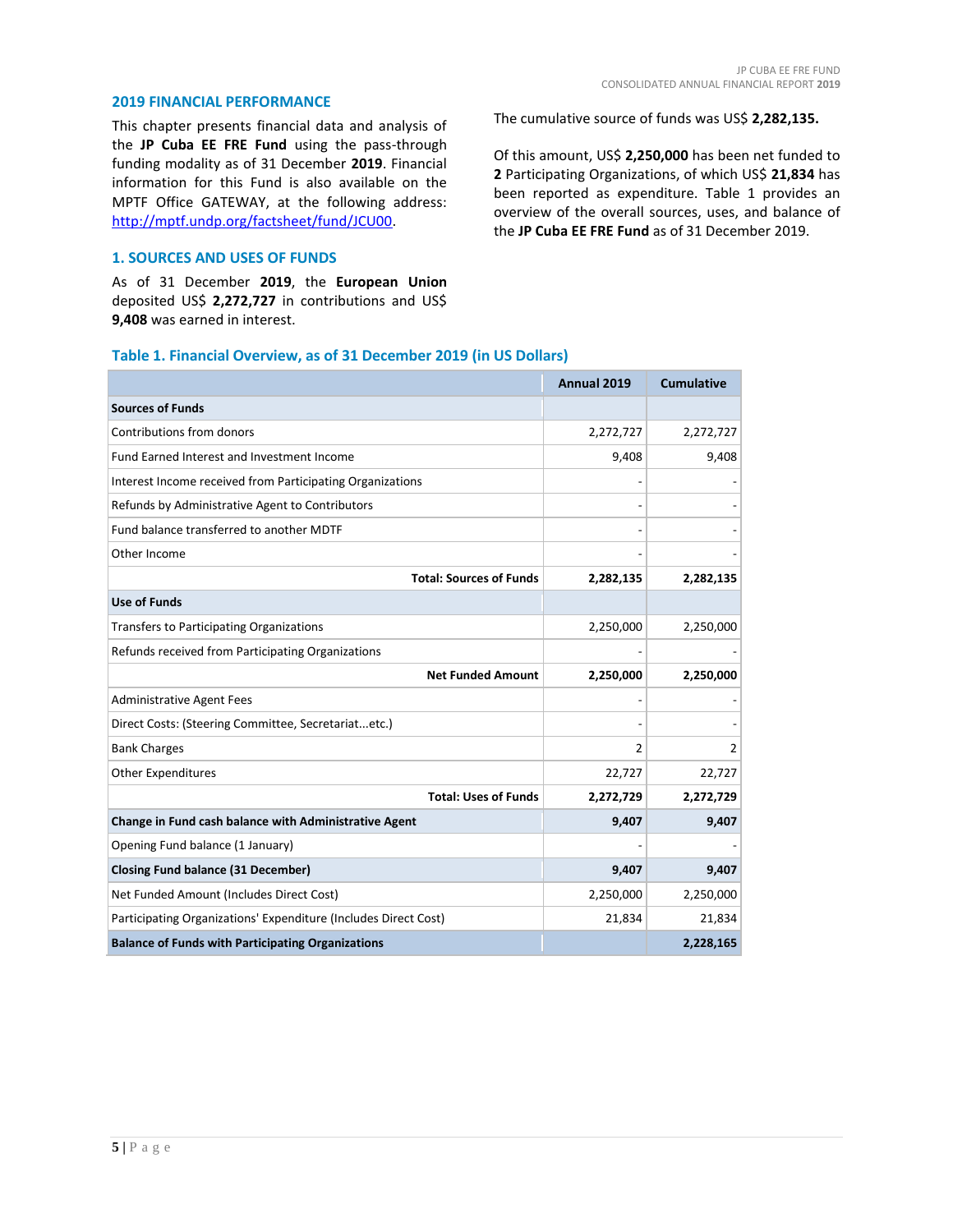#### **2019 FINANCIAL PERFORMANCE**

This chapter presents financial data and analysis of the **JP Cuba EE FRE Fund** using the pass-through funding modality as of 31 December **2019**. Financial information for this Fund is also available on the MPTF Office GATEWAY, at the following address: [http://mptf.undp.org/factsheet/fund/JCU00.](http://mptf.undp.org/factsheet/fund/JCU00)

#### **1. SOURCES AND USES OF FUNDS**

As of 31 December **2019**, the **European Union** deposited US\$ **2,272,727** in contributions and US\$ **9,408** was earned in interest.

The cumulative source of funds was US\$ **2,282,135.**

Of this amount, US\$ **2,250,000** has been net funded to **2** Participating Organizations, of which US\$ **21,834** has been reported as expenditure. Table 1 provides an overview of the overall sources, uses, and balance of the **JP Cuba EE FRE Fund** as of 31 December 2019.

# **Table 1. Financial Overview, as of 31 December 2019 (in US Dollars)**

|                                                                 | Annual 2019 | <b>Cumulative</b> |
|-----------------------------------------------------------------|-------------|-------------------|
| <b>Sources of Funds</b>                                         |             |                   |
| Contributions from donors                                       | 2,272,727   | 2,272,727         |
| Fund Earned Interest and Investment Income                      | 9,408       | 9,408             |
| Interest Income received from Participating Organizations       |             |                   |
| Refunds by Administrative Agent to Contributors                 | ÷.          |                   |
| Fund balance transferred to another MDTF                        |             |                   |
| Other Income                                                    |             |                   |
| <b>Total: Sources of Funds</b>                                  | 2,282,135   | 2,282,135         |
| <b>Use of Funds</b>                                             |             |                   |
| <b>Transfers to Participating Organizations</b>                 | 2,250,000   | 2,250,000         |
| Refunds received from Participating Organizations               |             |                   |
| <b>Net Funded Amount</b>                                        | 2,250,000   | 2,250,000         |
| <b>Administrative Agent Fees</b>                                |             |                   |
| Direct Costs: (Steering Committee, Secretariatetc.)             |             |                   |
| <b>Bank Charges</b>                                             | 2           | 2                 |
| <b>Other Expenditures</b>                                       | 22,727      | 22,727            |
| <b>Total: Uses of Funds</b>                                     | 2,272,729   | 2,272,729         |
| Change in Fund cash balance with Administrative Agent           | 9,407       | 9,407             |
| Opening Fund balance (1 January)                                |             |                   |
| <b>Closing Fund balance (31 December)</b>                       | 9,407       | 9,407             |
| Net Funded Amount (Includes Direct Cost)                        | 2,250,000   | 2,250,000         |
| Participating Organizations' Expenditure (Includes Direct Cost) | 21,834      | 21,834            |
| <b>Balance of Funds with Participating Organizations</b>        |             | 2,228,165         |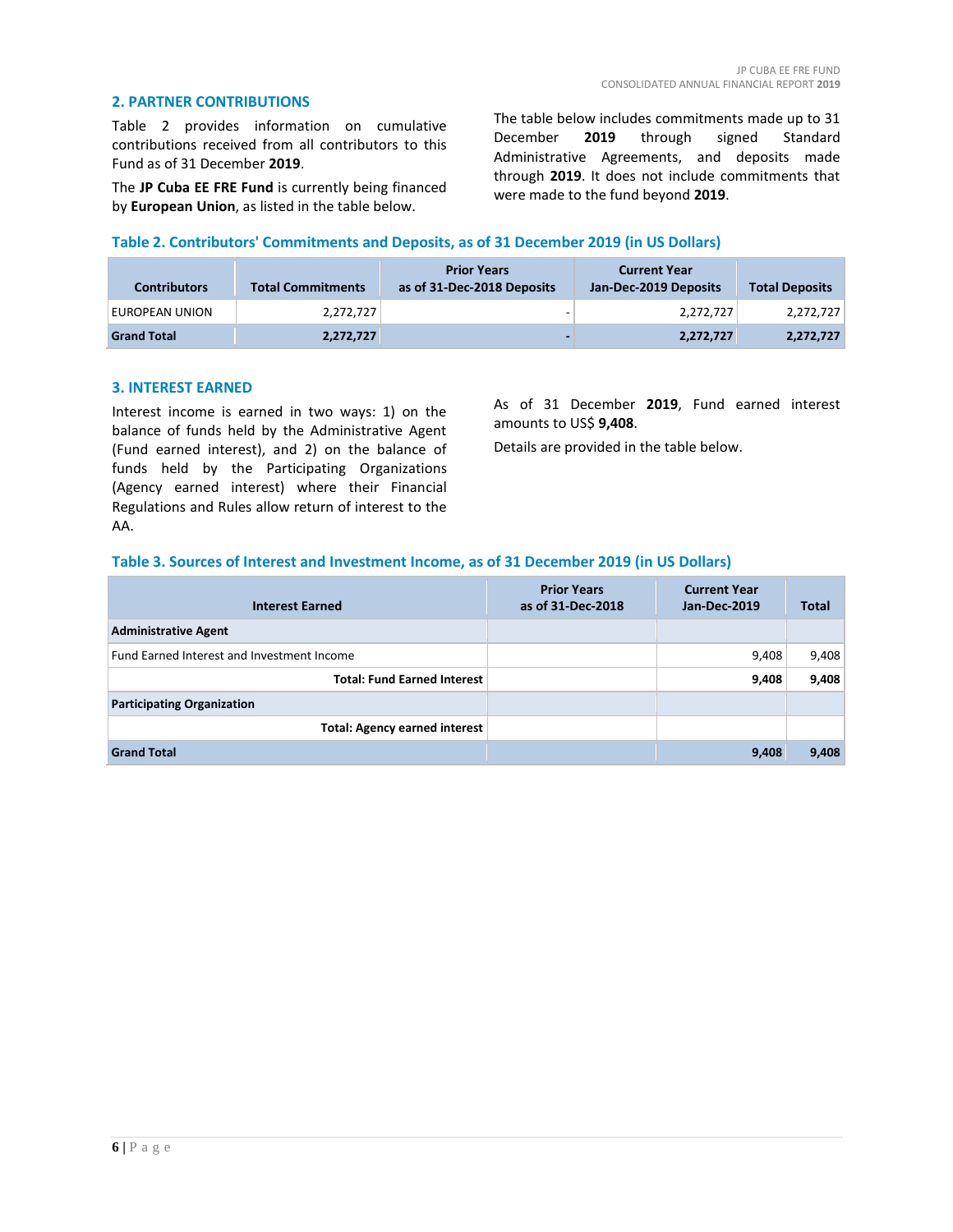### **2. PARTNER CONTRIBUTIONS**

Table 2 provides information on cumulative contributions received from all contributors to this Fund as of 31 December **2019**.

The **JP Cuba EE FRE Fund** is currently being financed by **European Union**, as listed in the table below.

The table below includes commitments made up to 31<br>December 2019 through signed Standard December **2019** through signed Administrative Agreements, and deposits made through **2019**. It does not include commitments that were made to the fund beyond **2019**.

# **Table 2. Contributors' Commitments and Deposits, as of 31 December 2019 (in US Dollars)**

| <b>Contributors</b> | <b>Total Commitments</b> | <b>Prior Years</b><br>as of 31-Dec-2018 Deposits | <b>Current Year</b><br>Jan-Dec-2019 Deposits | <b>Total Deposits</b> |
|---------------------|--------------------------|--------------------------------------------------|----------------------------------------------|-----------------------|
| EUROPEAN UNION      | 2.272.727                | -                                                | 2.272.727                                    | 2,272,727             |
| <b>Grand Total</b>  | 2,272,727                | $\overline{\phantom{0}}$                         | 2,272,727                                    | 2,272,727             |

#### **3. INTEREST EARNED**

Interest income is earned in two ways: 1) on the balance of funds held by the Administrative Agent (Fund earned interest), and 2) on the balance of funds held by the Participating Organizations (Agency earned interest) where their Financial Regulations and Rules allow return of interest to the AA.

As of 31 December **2019**, Fund earned interest amounts to US\$ **9,408**.

Details are provided in the table below.

#### **Table 3. Sources of Interest and Investment Income, as of 31 December 2019 (in US Dollars)**

| <b>Interest Earned</b>                     | <b>Prior Years</b><br>as of 31-Dec-2018 | <b>Current Year</b><br>Jan-Dec-2019 | <b>Total</b> |
|--------------------------------------------|-----------------------------------------|-------------------------------------|--------------|
| <b>Administrative Agent</b>                |                                         |                                     |              |
| Fund Earned Interest and Investment Income |                                         | 9,408                               | 9,408        |
| <b>Total: Fund Earned Interest</b>         |                                         | 9,408                               | 9,408        |
| <b>Participating Organization</b>          |                                         |                                     |              |
| <b>Total: Agency earned interest</b>       |                                         |                                     |              |
| <b>Grand Total</b>                         |                                         | 9,408                               | 9,408        |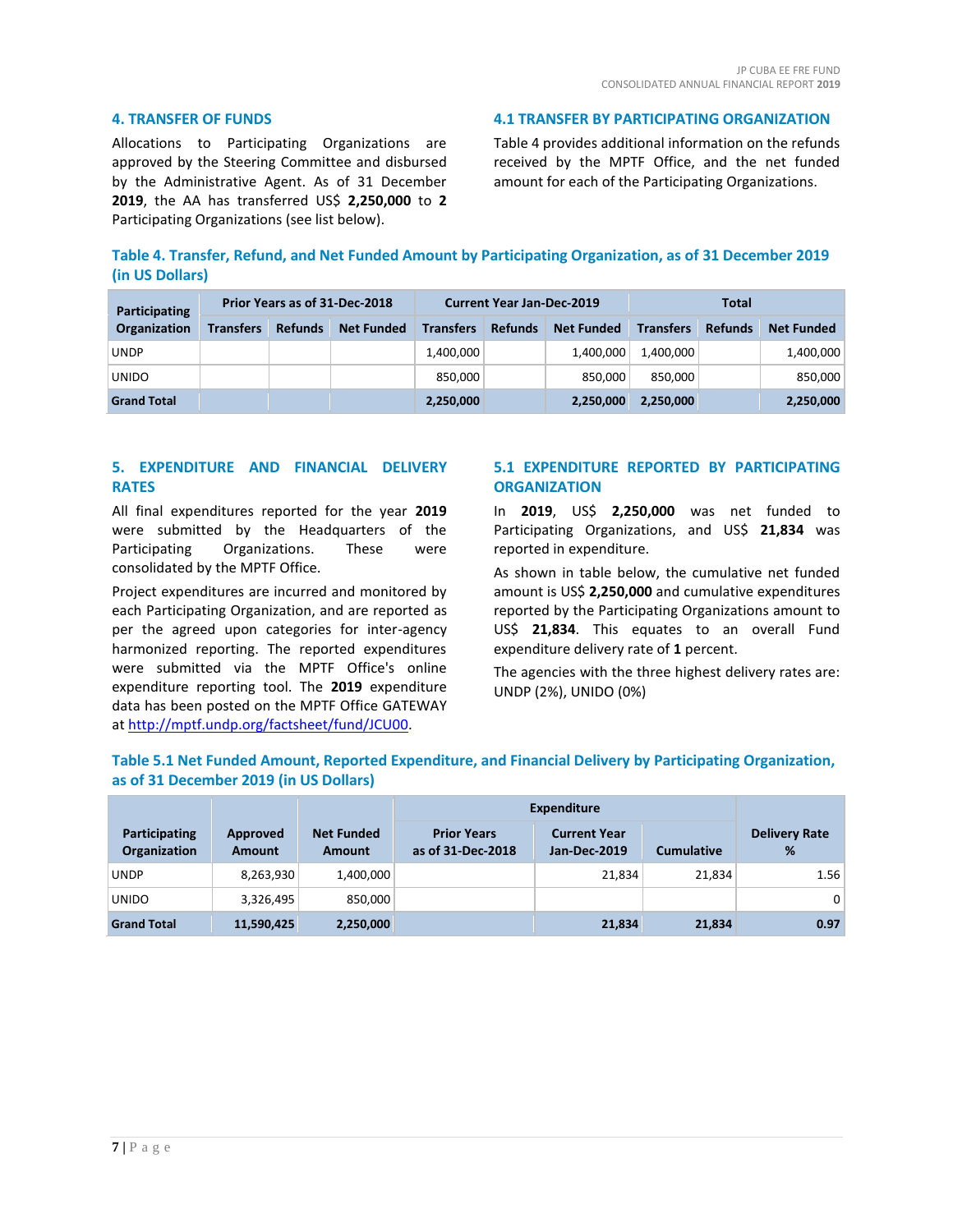### **4. TRANSFER OF FUNDS**

Allocations to Participating Organizations are approved by the Steering Committee and disbursed by the Administrative Agent. As of 31 December **2019**, the AA has transferred US\$ **2,250,000** to **2** Participating Organizations (see list below).

**4.1 TRANSFER BY PARTICIPATING ORGANIZATION**

Table 4 provides additional information on the refunds received by the MPTF Office, and the net funded amount for each of the Participating Organizations.

| Table 4. Transfer, Refund, and Net Funded Amount by Participating Organization, as of 31 December 2019 |
|--------------------------------------------------------------------------------------------------------|
| (in US Dollars)                                                                                        |

| Participating      | Prior Years as of 31-Dec-2018 |                |                   | <b>Current Year Jan-Dec-2019</b> |                |                   | Total            |                |                   |
|--------------------|-------------------------------|----------------|-------------------|----------------------------------|----------------|-------------------|------------------|----------------|-------------------|
| Organization       | <b>Transfers</b>              | <b>Refunds</b> | <b>Net Funded</b> | <b>Transfers</b>                 | <b>Refunds</b> | <b>Net Funded</b> | <b>Transfers</b> | <b>Refunds</b> | <b>Net Funded</b> |
| <b>UNDP</b>        |                               |                |                   | 1,400,000                        |                | 1.400.000         | 1,400,000        |                | 1,400,000         |
| <b>UNIDO</b>       |                               |                |                   | 850,000                          |                | 850.000           | 850.000          |                | 850,000           |
| <b>Grand Total</b> |                               |                |                   | 2,250,000                        |                | 2,250,000         | 2,250,000        |                | 2,250,000         |

# **5. EXPENDITURE AND FINANCIAL DELIVERY RATES**

All final expenditures reported for the year **2019** were submitted by the Headquarters of the Participating Organizations. These were consolidated by the MPTF Office.

Project expenditures are incurred and monitored by each Participating Organization, and are reported as per the agreed upon categories for inter-agency harmonized reporting. The reported expenditures were submitted via the MPTF Office's online expenditure reporting tool. The **2019** expenditure data has been posted on the MPTF Office GATEWAY a[t http://mptf.undp.org/factsheet/fund/JCU00.](http://mptf.undp.org/factsheet/fund/JCU00)

# **5.1 EXPENDITURE REPORTED BY PARTICIPATING ORGANIZATION**

In **2019**, US\$ **2,250,000** was net funded to Participating Organizations, and US\$ **21,834** was reported in expenditure.

As shown in table below, the cumulative net funded amount is US\$ **2,250,000** and cumulative expenditures reported by the Participating Organizations amount to US\$ **21,834**. This equates to an overall Fund expenditure delivery rate of **1** percent.

The agencies with the three highest delivery rates are: UNDP (2%), UNIDO (0%)

# **Table 5.1 Net Funded Amount, Reported Expenditure, and Financial Delivery by Participating Organization, as of 31 December 2019 (in US Dollars)**

|                               |                           |                                    | <b>Expenditure</b>                      |                                     |                   |                           |
|-------------------------------|---------------------------|------------------------------------|-----------------------------------------|-------------------------------------|-------------------|---------------------------|
| Participating<br>Organization | Approved<br><b>Amount</b> | <b>Net Funded</b><br><b>Amount</b> | <b>Prior Years</b><br>as of 31-Dec-2018 | <b>Current Year</b><br>Jan-Dec-2019 | <b>Cumulative</b> | <b>Delivery Rate</b><br>% |
| <b>UNDP</b>                   | 8,263,930                 | 1,400,000                          |                                         | 21.834                              | 21.834            | 1.56                      |
| <b>UNIDO</b>                  | 3,326,495                 | 850,000                            |                                         |                                     |                   | $\mathbf{0}$              |
| <b>Grand Total</b>            | 11,590,425                | 2,250,000                          |                                         | 21,834                              | 21,834            | 0.97                      |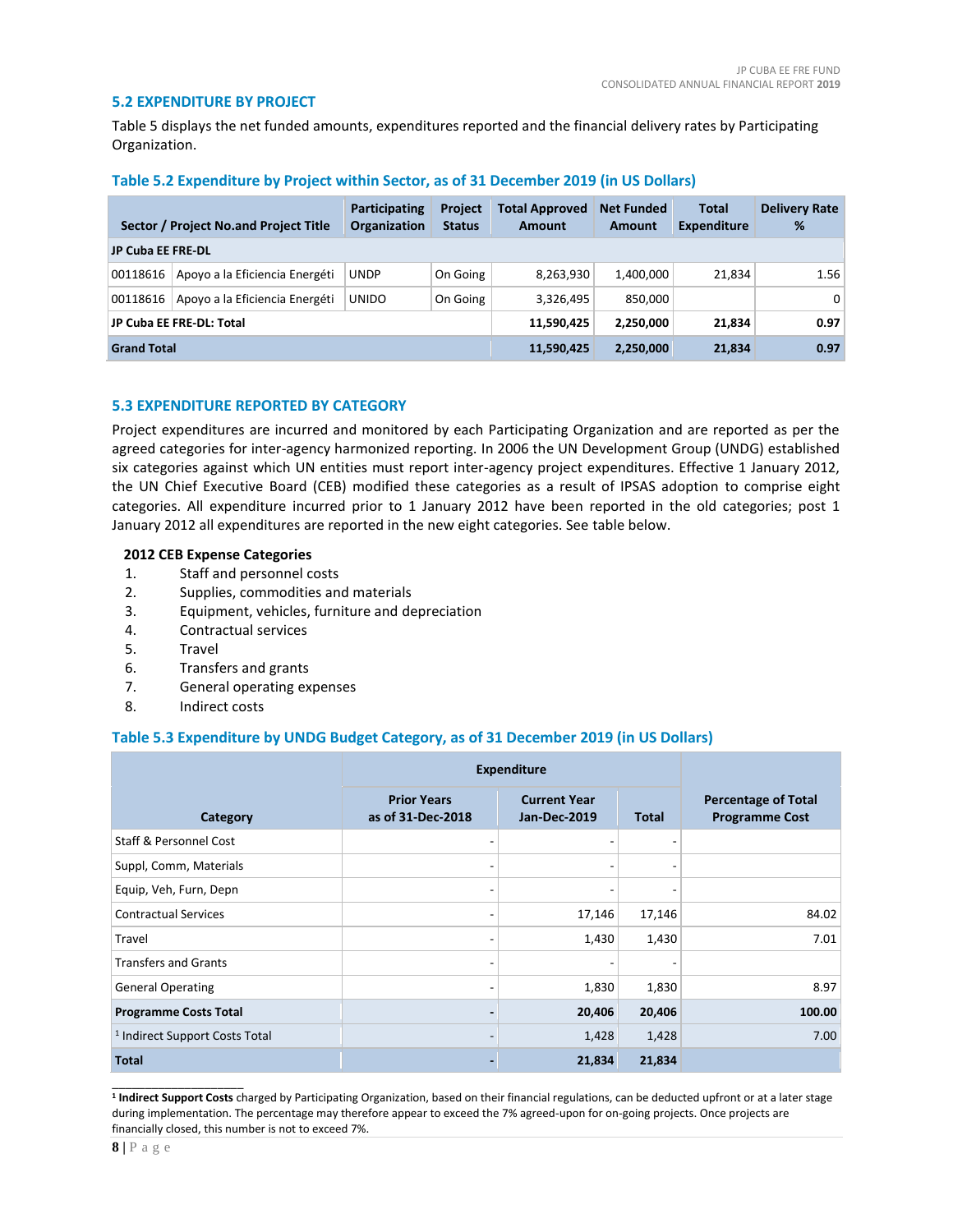### **5.2 EXPENDITURE BY PROJECT**

Table 5 displays the net funded amounts, expenditures reported and the financial delivery rates by Participating Organization.

|                          | Sector / Project No.and Project Title | Participating<br><b>Organization</b> | <b>Project</b><br><b>Status</b> | <b>Total Approved</b><br><b>Amount</b> | <b>Net Funded</b><br>Amount | Total<br><b>Expenditure</b> | <b>Delivery Rate</b><br>% |
|--------------------------|---------------------------------------|--------------------------------------|---------------------------------|----------------------------------------|-----------------------------|-----------------------------|---------------------------|
| <b>JP Cuba EE FRE-DL</b> |                                       |                                      |                                 |                                        |                             |                             |                           |
| 00118616                 | Apoyo a la Eficiencia Energéti        | UNDP                                 | On Going                        | 8,263,930                              | 1,400,000                   | 21,834                      | 1.56                      |
| 00118616                 | Apoyo a la Eficiencia Energéti        | <b>UNIDO</b>                         | On Going                        | 3,326,495                              | 850,000                     |                             | $\overline{0}$            |
| JP Cuba EE FRE-DL: Total |                                       |                                      | 11,590,425                      | 2,250,000                              | 21,834                      | 0.97                        |                           |
| <b>Grand Total</b>       |                                       | 11,590,425                           | 2.250.000                       | 21,834                                 | 0.97                        |                             |                           |

#### **Table 5.2 Expenditure by Project within Sector, as of 31 December 2019 (in US Dollars)**

# **5.3 EXPENDITURE REPORTED BY CATEGORY**

Project expenditures are incurred and monitored by each Participating Organization and are reported as per the agreed categories for inter-agency harmonized reporting. In 2006 the UN Development Group (UNDG) established six categories against which UN entities must report inter-agency project expenditures. Effective 1 January 2012, the UN Chief Executive Board (CEB) modified these categories as a result of IPSAS adoption to comprise eight categories. All expenditure incurred prior to 1 January 2012 have been reported in the old categories; post 1 January 2012 all expenditures are reported in the new eight categories. See table below.

#### **2012 CEB Expense Categories**

- 1. Staff and personnel costs
- 2. Supplies, commodities and materials
- 3. Equipment, vehicles, furniture and depreciation
- 4. Contractual services
- 5. Travel
- 6. Transfers and grants
- 7. General operating expenses
- 8. Indirect costs

# **Table 5.3 Expenditure by UNDG Budget Category, as of 31 December 2019 (in US Dollars)**

|                                           | <b>Expenditure</b>                      |                                            |                          |                                                     |
|-------------------------------------------|-----------------------------------------|--------------------------------------------|--------------------------|-----------------------------------------------------|
| Category                                  | <b>Prior Years</b><br>as of 31-Dec-2018 | <b>Current Year</b><br><b>Jan-Dec-2019</b> | <b>Total</b>             | <b>Percentage of Total</b><br><b>Programme Cost</b> |
| Staff & Personnel Cost                    |                                         |                                            |                          |                                                     |
| Suppl, Comm, Materials                    |                                         |                                            | $\overline{\phantom{a}}$ |                                                     |
| Equip, Veh, Furn, Depn                    | ۰                                       | $\overline{\phantom{0}}$                   | $\overline{\phantom{a}}$ |                                                     |
| <b>Contractual Services</b>               |                                         | 17,146                                     | 17,146                   | 84.02                                               |
| Travel                                    |                                         | 1,430                                      | 1,430                    | 7.01                                                |
| <b>Transfers and Grants</b>               |                                         |                                            |                          |                                                     |
| <b>General Operating</b>                  |                                         | 1,830                                      | 1,830                    | 8.97                                                |
| <b>Programme Costs Total</b>              |                                         | 20,406                                     | 20,406                   | 100.00                                              |
| <sup>1</sup> Indirect Support Costs Total |                                         | 1,428                                      | 1,428                    | 7.00                                                |
| <b>Total</b>                              |                                         | 21,834                                     | 21,834                   |                                                     |

**1 Indirect Support Costs** charged by Participating Organization, based on their financial regulations, can be deducted upfront or at a later stage during implementation. The percentage may therefore appear to exceed the 7% agreed-upon for on-going projects. Once projects are financially closed, this number is not to exceed 7%.

\_\_\_\_\_\_\_\_\_\_\_\_\_\_\_\_\_\_\_\_